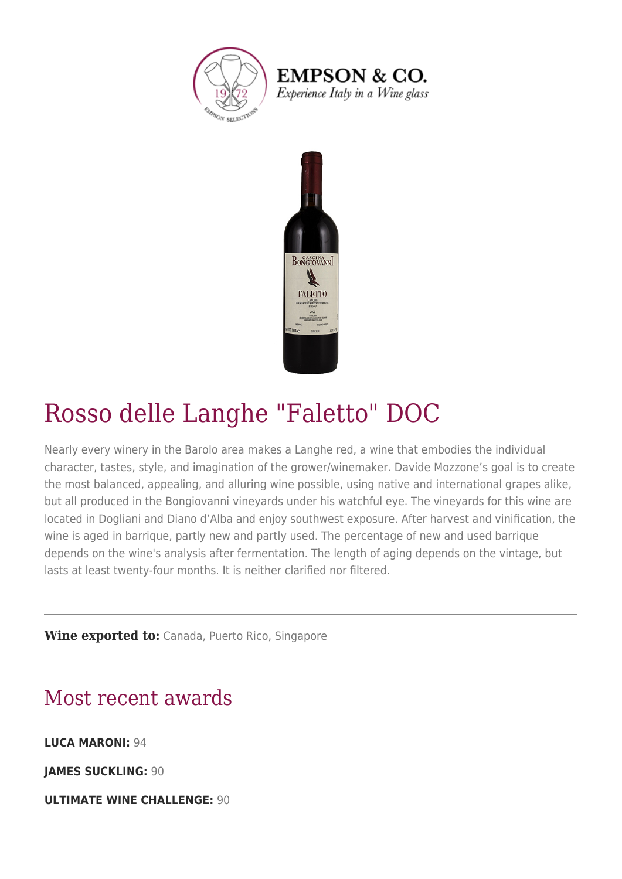

**EMPSON & CO.** Experience Italy in a Wine glass



### Rosso delle Langhe "Faletto" DOC

Nearly every winery in the Barolo area makes a Langhe red, a wine that embodies the individual character, tastes, style, and imagination of the grower/winemaker. Davide Mozzone's goal is to create the most balanced, appealing, and alluring wine possible, using native and international grapes alike, but all produced in the Bongiovanni vineyards under his watchful eye. The vineyards for this wine are located in Dogliani and Diano d'Alba and enjoy southwest exposure. After harvest and vinification, the wine is aged in barrique, partly new and partly used. The percentage of new and used barrique depends on the wine's analysis after fermentation. The length of aging depends on the vintage, but lasts at least twenty-four months. It is neither clarified nor filtered.

**Wine exported to:** Canada, Puerto Rico, Singapore

### Most recent awards

**LUCA MARONI:** 94

**JAMES SUCKLING:** 90

**ULTIMATE WINE CHALLENGE:** 90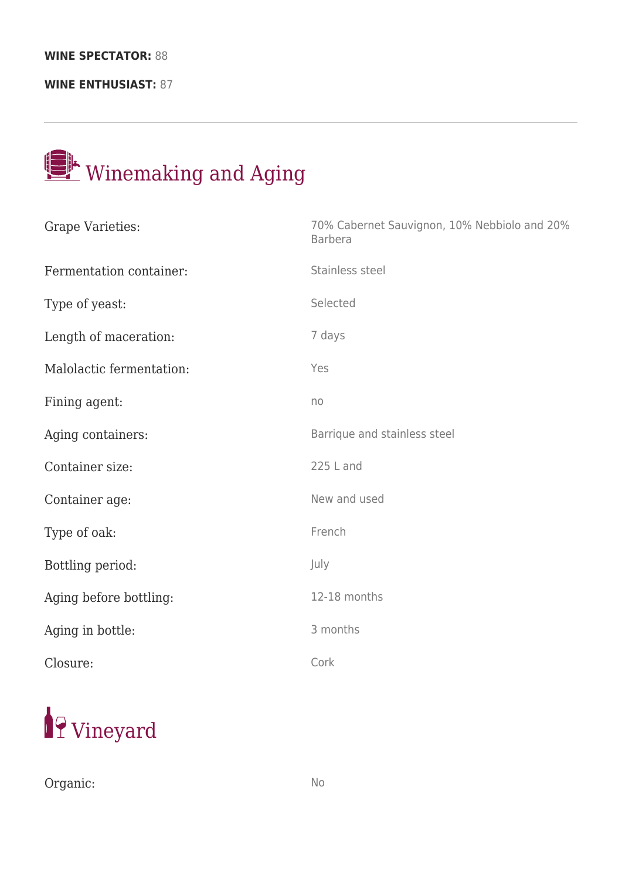#### **WINE SPECTATOR:** 88

**WINE ENTHUSIAST:** 87

# Winemaking and Aging

| Grape Varieties:         | 70% Cabernet Sauvignon, 10% Nebbiolo and 20%<br><b>Barbera</b> |
|--------------------------|----------------------------------------------------------------|
| Fermentation container:  | Stainless steel                                                |
| Type of yeast:           | Selected                                                       |
| Length of maceration:    | 7 days                                                         |
| Malolactic fermentation: | Yes                                                            |
| Fining agent:            | no                                                             |
| Aging containers:        | Barrique and stainless steel                                   |
| Container size:          | 225 L and                                                      |
| Container age:           | New and used                                                   |
| Type of oak:             | French                                                         |
| Bottling period:         | July                                                           |
| Aging before bottling:   | 12-18 months                                                   |
| Aging in bottle:         | 3 months                                                       |
| Closure:                 | Cork                                                           |



Organic: No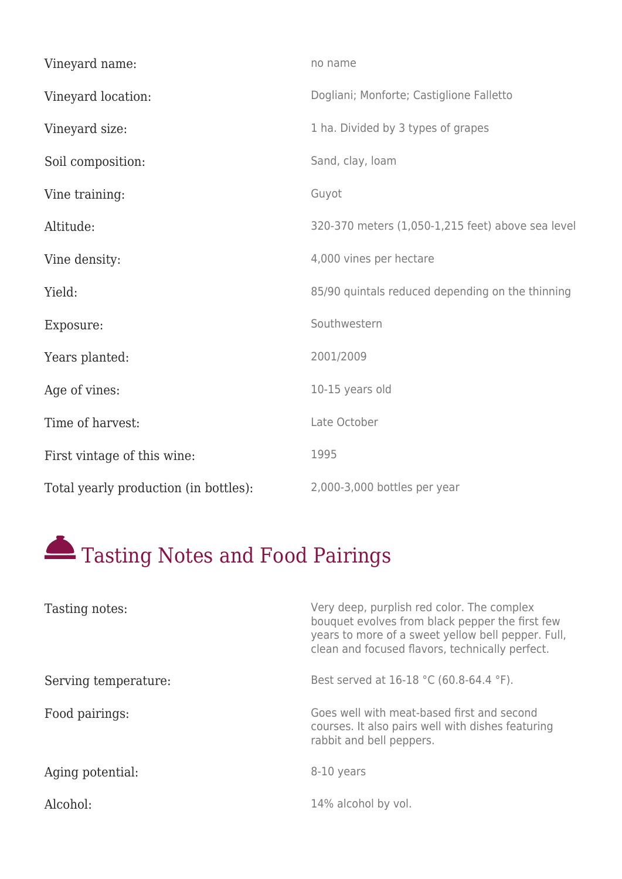| Vineyard name:                        | no name                                           |
|---------------------------------------|---------------------------------------------------|
| Vineyard location:                    | Dogliani; Monforte; Castiglione Falletto          |
| Vineyard size:                        | 1 ha. Divided by 3 types of grapes                |
| Soil composition:                     | Sand, clay, loam                                  |
| Vine training:                        | Guyot                                             |
| Altitude:                             | 320-370 meters (1,050-1,215 feet) above sea level |
| Vine density:                         | 4,000 vines per hectare                           |
| Yield:                                | 85/90 quintals reduced depending on the thinning  |
| Exposure:                             | Southwestern                                      |
| Years planted:                        | 2001/2009                                         |
| Age of vines:                         | 10-15 years old                                   |
| Time of harvest:                      | Late October                                      |
| First vintage of this wine:           | 1995                                              |
| Total yearly production (in bottles): | 2,000-3,000 bottles per year                      |

## Tasting Notes and Food Pairings

| Tasting notes:       | Very deep, purplish red color. The complex<br>bouquet evolves from black pepper the first few<br>years to more of a sweet yellow bell pepper. Full,<br>clean and focused flavors, technically perfect. |
|----------------------|--------------------------------------------------------------------------------------------------------------------------------------------------------------------------------------------------------|
| Serving temperature: | Best served at 16-18 °C (60.8-64.4 °F).                                                                                                                                                                |
| Food pairings:       | Goes well with meat-based first and second<br>courses. It also pairs well with dishes featuring<br>rabbit and bell peppers.                                                                            |
| Aging potential:     | 8-10 years                                                                                                                                                                                             |
| Alcohol:             | 14% alcohol by vol.                                                                                                                                                                                    |